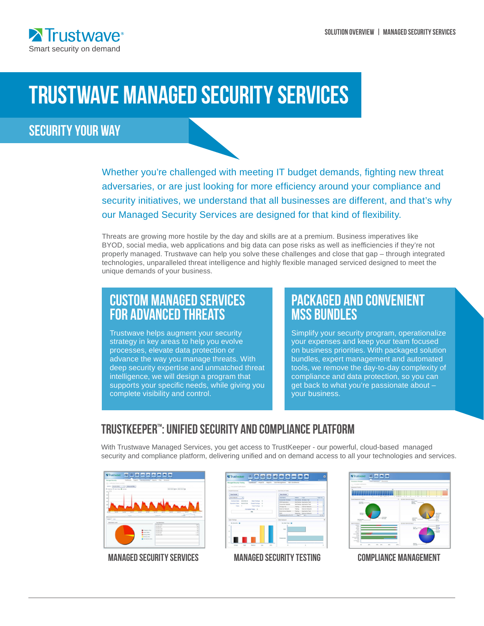

# TRUSTWAVE MANAGED SECURITY SERVICES

# SECURITY YOUR WAY

Whether you're challenged with meeting IT budget demands, fighting new threat adversaries, or are just looking for more efficiency around your compliance and security initiatives, we understand that all businesses are different, and that's why our Managed Security Services are designed for that kind of flexibility.

Threats are growing more hostile by the day and skills are at a premium. Business imperatives like BYOD, social media, web applications and big data can pose risks as well as inefficiencies if they're not properly managed. Trustwave can help you solve these challenges and close that gap – through integrated technologies, unparalleled threat intelligence and highly flexible managed serviced designed to meet the unique demands of your business.

# Custom Managed Services for ADVANCED THREATS

Trustwave helps augment your security strategy in key areas to help you evolve processes, elevate data protection or advance the way you manage threats. With deep security expertise and unmatched threat intelligence, we will design a program that supports your specific needs, while giving you complete visibility and control.

# PACKAGED and CONVENIENT **MSS BUNDLES**

Simplify your security program, operationalize your expenses and keep your team focused on business priorities. With packaged solution bundles, expert management and automated tools, we remove the day-to-day complexity of compliance and data protection, so you can get back to what you're passionate about – your business.

### Trustkeeper™: Unified Security and compliance platform

With Trustwave Managed Services, you get access to TrustKeeper - our powerful, cloud-based managed security and compliance platform, delivering unified and on demand access to all your technologies and services.